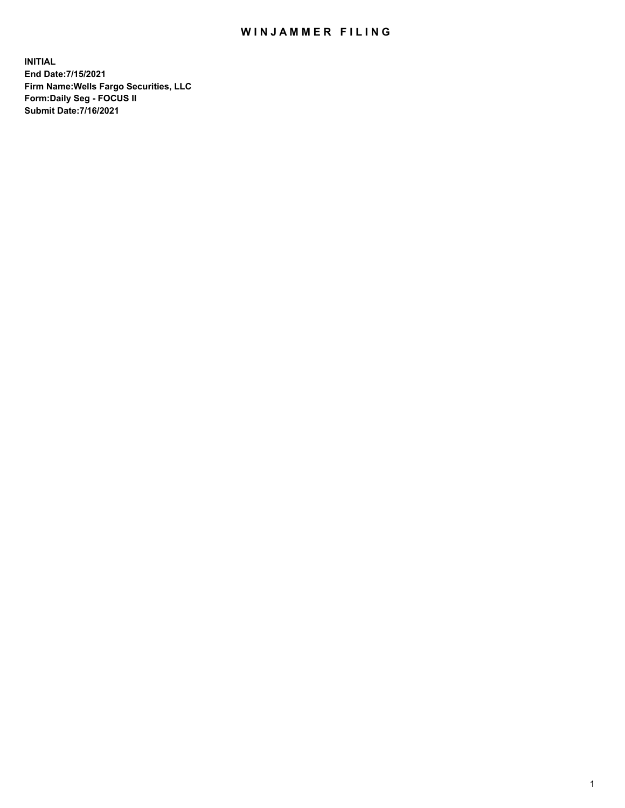## WIN JAMMER FILING

**INITIAL End Date:7/15/2021 Firm Name:Wells Fargo Securities, LLC Form:Daily Seg - FOCUS II Submit Date:7/16/2021**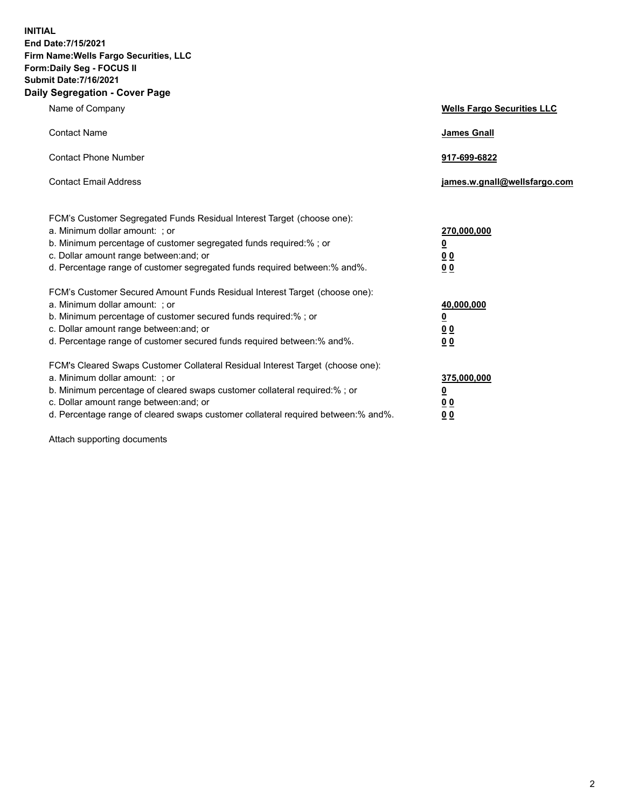**INITIAL End Date:7/15/2021 Firm Name:Wells Fargo Securities, LLC Form:Daily Seg - FOCUS II Submit Date:7/16/2021 Daily Segregation - Cover Page**

| Name of Company                                                                                                                                                                                                                                                                                                                | <b>Wells Fargo Securities LLC</b>                                         |
|--------------------------------------------------------------------------------------------------------------------------------------------------------------------------------------------------------------------------------------------------------------------------------------------------------------------------------|---------------------------------------------------------------------------|
| <b>Contact Name</b>                                                                                                                                                                                                                                                                                                            | <b>James Gnall</b>                                                        |
| <b>Contact Phone Number</b>                                                                                                                                                                                                                                                                                                    | 917-699-6822                                                              |
| <b>Contact Email Address</b>                                                                                                                                                                                                                                                                                                   | james.w.gnall@wellsfargo.com                                              |
| FCM's Customer Segregated Funds Residual Interest Target (choose one):<br>a. Minimum dollar amount: ; or<br>b. Minimum percentage of customer segregated funds required:% ; or<br>c. Dollar amount range between: and; or<br>d. Percentage range of customer segregated funds required between:% and%.                         | 270,000,000<br>$\overline{\mathbf{0}}$<br>0 <sub>0</sub><br>00            |
| FCM's Customer Secured Amount Funds Residual Interest Target (choose one):<br>a. Minimum dollar amount: ; or<br>b. Minimum percentage of customer secured funds required:%; or<br>c. Dollar amount range between: and; or<br>d. Percentage range of customer secured funds required between:% and%.                            | 40,000,000<br>$\overline{\mathbf{0}}$<br>0 <sub>0</sub><br>0 <sub>0</sub> |
| FCM's Cleared Swaps Customer Collateral Residual Interest Target (choose one):<br>a. Minimum dollar amount: ; or<br>b. Minimum percentage of cleared swaps customer collateral required:% ; or<br>c. Dollar amount range between: and; or<br>d. Percentage range of cleared swaps customer collateral required between:% and%. | 375,000,000<br><u>0</u><br>00<br>00                                       |

Attach supporting documents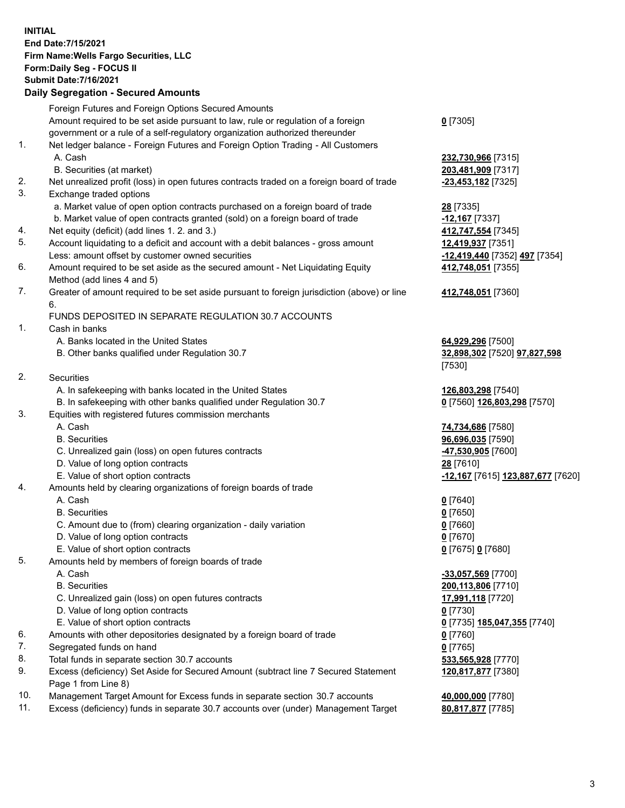**INITIAL End Date:7/15/2021 Firm Name:Wells Fargo Securities, LLC Form:Daily Seg - FOCUS II Submit Date:7/16/2021**

## **Daily Segregation - Secured Amounts**

|     | Foreign Futures and Foreign Options Secured Amounts                                                        |                                                       |
|-----|------------------------------------------------------------------------------------------------------------|-------------------------------------------------------|
|     | Amount required to be set aside pursuant to law, rule or regulation of a foreign                           | $0$ [7305]                                            |
|     | government or a rule of a self-regulatory organization authorized thereunder                               |                                                       |
| 1.  | Net ledger balance - Foreign Futures and Foreign Option Trading - All Customers                            |                                                       |
|     | A. Cash                                                                                                    | 232,730,966 [7315]                                    |
|     | B. Securities (at market)                                                                                  | 203,481,909 [7317]                                    |
| 2.  | Net unrealized profit (loss) in open futures contracts traded on a foreign board of trade                  | -23,453,182 [7325]                                    |
| 3.  | Exchange traded options                                                                                    |                                                       |
|     | a. Market value of open option contracts purchased on a foreign board of trade                             | 28 [7335]                                             |
|     | b. Market value of open contracts granted (sold) on a foreign board of trade                               | -12,167 [7337]                                        |
| 4.  | Net equity (deficit) (add lines 1. 2. and 3.)                                                              | 412,747,554 [7345]                                    |
| 5.  | Account liquidating to a deficit and account with a debit balances - gross amount                          | 12,419,937 [7351]                                     |
|     | Less: amount offset by customer owned securities                                                           | -12,419,440 [7352] 497 [7354]                         |
| 6.  | Amount required to be set aside as the secured amount - Net Liquidating Equity                             | 412,748,051 [7355]                                    |
|     | Method (add lines 4 and 5)                                                                                 |                                                       |
| 7.  | Greater of amount required to be set aside pursuant to foreign jurisdiction (above) or line<br>6.          | 412,748,051 [7360]                                    |
|     | FUNDS DEPOSITED IN SEPARATE REGULATION 30.7 ACCOUNTS                                                       |                                                       |
| 1.  | Cash in banks                                                                                              |                                                       |
|     |                                                                                                            |                                                       |
|     | A. Banks located in the United States                                                                      | 64,929,296 [7500]                                     |
|     | B. Other banks qualified under Regulation 30.7                                                             | 32,898,302 [7520] 97,827,598                          |
|     |                                                                                                            | [7530]                                                |
| 2.  | Securities                                                                                                 |                                                       |
|     | A. In safekeeping with banks located in the United States                                                  | 126,803,298 [7540]                                    |
|     | B. In safekeeping with other banks qualified under Regulation 30.7                                         | 0 [7560] 126,803,298 [7570]                           |
| 3.  | Equities with registered futures commission merchants                                                      |                                                       |
|     | A. Cash                                                                                                    | 74,734,686 [7580]                                     |
|     | <b>B.</b> Securities                                                                                       | 96,696,035 [7590]                                     |
|     | C. Unrealized gain (loss) on open futures contracts                                                        | 47,530,905 [7600]                                     |
|     | D. Value of long option contracts                                                                          | 28 [7610]                                             |
|     | E. Value of short option contracts                                                                         | <mark>-12,167</mark> [7615] <b>123,887,677</b> [7620] |
| 4.  | Amounts held by clearing organizations of foreign boards of trade                                          |                                                       |
|     | A. Cash                                                                                                    | $0$ [7640]                                            |
|     | <b>B.</b> Securities                                                                                       | $0$ [7650]                                            |
|     | C. Amount due to (from) clearing organization - daily variation                                            | $0$ [7660]                                            |
|     | D. Value of long option contracts                                                                          | $0$ [7670]                                            |
|     | E. Value of short option contracts                                                                         | 0 [7675] 0 [7680]                                     |
| 5.  | Amounts held by members of foreign boards of trade                                                         |                                                       |
|     | A. Cash                                                                                                    | -33,057,569 [7700]                                    |
|     | <b>B.</b> Securities                                                                                       | 200,113,806 [7710]                                    |
|     | C. Unrealized gain (loss) on open futures contracts                                                        | 17,991,118 [7720]                                     |
|     | D. Value of long option contracts                                                                          | $0$ [7730]                                            |
|     | E. Value of short option contracts                                                                         | 0 <sup>[7735]</sup> 185,047,355 <sup>[7740]</sup>     |
| 6.  | Amounts with other depositories designated by a foreign board of trade                                     | 0 [7760]                                              |
| 7.  | Segregated funds on hand                                                                                   | $0$ [7765]                                            |
| 8.  | Total funds in separate section 30.7 accounts                                                              | 533,565,928 [7770]                                    |
| 9.  | Excess (deficiency) Set Aside for Secured Amount (subtract line 7 Secured Statement<br>Page 1 from Line 8) | 120,817,877 [7380]                                    |
| 10. | Management Target Amount for Excess funds in senarate section 30.7 accounts                                | 40.000.000.177801                                     |

- 10. Management Target Amount for Excess funds in separate section 30.7 accounts **40,000,000** [7780]
- 11. Excess (deficiency) funds in separate 30.7 accounts over (under) Management Target **80,817,877** [7785]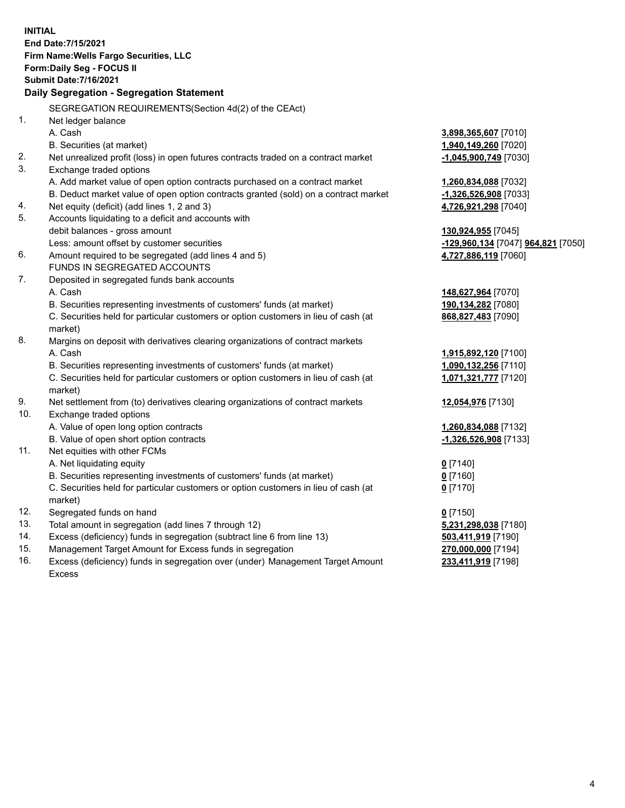**INITIAL End Date:7/15/2021 Firm Name:Wells Fargo Securities, LLC Form:Daily Seg - FOCUS II Submit Date:7/16/2021 Daily Segregation - Segregation Statement** SEGREGATION REQUIREMENTS(Section 4d(2) of the CEAct) 1. Net ledger balance A. Cash **3,898,365,607** [7010] B. Securities (at market) **1,940,149,260** [7020] 2. Net unrealized profit (loss) in open futures contracts traded on a contract market **-1,045,900,749** [7030] 3. Exchange traded options A. Add market value of open option contracts purchased on a contract market **1,260,834,088** [7032] B. Deduct market value of open option contracts granted (sold) on a contract market **-1,326,526,908** [7033] 4. Net equity (deficit) (add lines 1, 2 and 3) **4,726,921,298** [7040] 5. Accounts liquidating to a deficit and accounts with debit balances - gross amount **130,924,955** [7045] Less: amount offset by customer securities **-129,960,134** [7047] **964,821** [7050] 6. Amount required to be segregated (add lines 4 and 5) **4,727,886,119** [7060] FUNDS IN SEGREGATED ACCOUNTS 7. Deposited in segregated funds bank accounts A. Cash **148,627,964** [7070] B. Securities representing investments of customers' funds (at market) **190,134,282** [7080] C. Securities held for particular customers or option customers in lieu of cash (at market) **868,827,483** [7090] 8. Margins on deposit with derivatives clearing organizations of contract markets A. Cash **1,915,892,120** [7100] B. Securities representing investments of customers' funds (at market) **1,090,132,256** [7110] C. Securities held for particular customers or option customers in lieu of cash (at market) **1,071,321,777** [7120] 9. Net settlement from (to) derivatives clearing organizations of contract markets **12,054,976** [7130] 10. Exchange traded options A. Value of open long option contracts **1,260,834,088** [7132] B. Value of open short option contracts **-1,326,526,908** [7133] 11. Net equities with other FCMs A. Net liquidating equity **0** [7140] B. Securities representing investments of customers' funds (at market) **0** [7160] C. Securities held for particular customers or option customers in lieu of cash (at market) **0** [7170] 12. Segregated funds on hand **0** [7150] 13. Total amount in segregation (add lines 7 through 12) **5,231,298,038** [7180] 14. Excess (deficiency) funds in segregation (subtract line 6 from line 13) **503,411,919** [7190]

- 15. Management Target Amount for Excess funds in segregation **270,000,000** [7194]
- 16. Excess (deficiency) funds in segregation over (under) Management Target Amount Excess

**233,411,919** [7198]